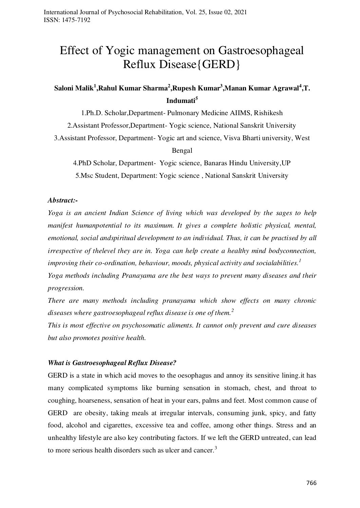# Effect of Yogic management on Gastroesophageal Reflux Disease{GERD}

# $S$ aloni Malik<sup>1</sup>,Rahul Kumar Sharma<sup>2</sup>,Rupesh Kumar<sup>3</sup>,Manan Kumar Agrawal<sup>4</sup>,T. **Indumati<sup>5</sup>**

1.Ph.D. Scholar,Department- Pulmonary Medicine AIIMS, Rishikesh

2.Assistant Professor,Department- Yogic science, National Sanskrit University

3.Assistant Professor, Department- Yogic art and science, Visva Bharti university, West

Bengal

4.PhD Scholar, Department- Yogic science, Banaras Hindu University,UP 5.Msc Student, Department: Yogic science , National Sanskrit University

#### *Abstract:-*

*Yoga is an ancient Indian Science of living which was developed by the sages to help manifest humanpotential to its maximum. It gives a complete holistic physical, mental, emotional, social andspiritual development to an individual. Thus, it can be practised by all irrespective of thelevel they are in. Yoga can help create a healthy mind bodyconnection, improving their co-ordination, behaviour, moods, physical activity and socialabilities.<sup>1</sup> Yoga methods including Pranayama are the best ways to prevent many diseases and their* 

*progression. There are many methods including pranayama which show effects on many chronic* 

*diseases where gastroesophageal reflux disease is one of them.<sup>2</sup>*

*This is most effective on psychosomatic aliments. It cannot only prevent and cure diseases but also promotes positive health.*

# *What is Gastroesophageal Reflux Disease?*

GERD is a state in which acid moves to the oesophagus and annoy its sensitive lining.it has many complicated symptoms like burning sensation in stomach, chest, and throat to coughing, hoarseness, sensation of heat in your ears, palms and feet. Most common cause of GERD are obesity, taking meals at irregular intervals, consuming junk, spicy, and fatty food, alcohol and cigarettes, excessive tea and coffee, among other things. Stress and an unhealthy lifestyle are also key contributing factors. If we left the GERD untreated, can lead to more serious health disorders such as ulcer and cancer.<sup>3</sup>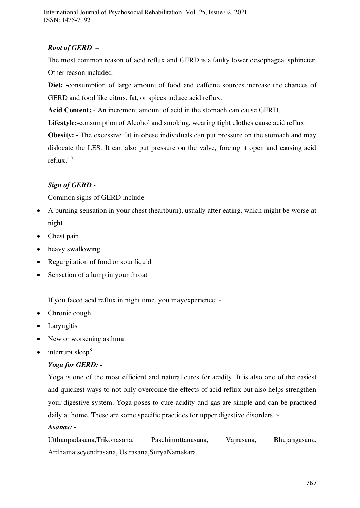International Journal of Psychosocial Rehabilitation, Vol. 25, Issue 02, 2021 ISSN: 1475-7192

# *Root of GERD –*

The most common reason of acid reflux and GERD is a faulty lower oesophageal sphincter. Other reason included:

Diet: -consumption of large amount of food and caffeine sources increase the chances of GERD and food like citrus, fat, or spices induce acid reflux.

**Acid Content:** - An increment amount of acid in the stomach can cause GERD.

**Lifestyle:**-consumption of Alcohol and smoking, wearing tight clothes cause acid reflux.

**Obesity:** - The excessive fat in obese individuals can put pressure on the stomach and may dislocate the LES. It can also put pressure on the valve, forcing it open and causing acid reflux. $5-7$ 

# *Sign of GERD -*

Common signs of GERD include -

- A burning sensation in your chest (heartburn), usually after eating, which might be worse at night
- Chest pain
- heavy swallowing
- Regurgitation of food or sour liquid
- Sensation of a lump in your throat

If you faced acid reflux in night time, you mayexperience: -

- Chronic cough
- Laryngitis
- New or worsening asthma
- $\bullet$  interrupt sleep<sup>8</sup>

# *Yoga for GERD: -*

Yoga is one of the most efficient and natural cures for acidity. It is also one of the easiest and quickest ways to not only overcome the effects of acid reflux but also helps strengthen your digestive system. Yoga poses to cure acidity and gas are simple and can be practiced daily at home. These are some specific practices for upper digestive disorders :-

#### *Asanas: -*

Utthanpadasana,Trikonasana, Paschimottanasana, Vajrasana, Bhujangasana, Ardhamatseyendrasana, Ustrasana,SuryaNamskara.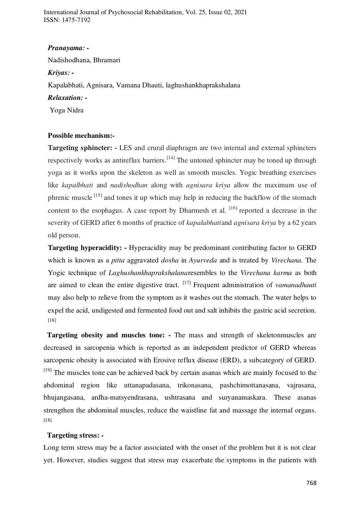International Journal of Psychosocial Rehabilitation, Vol. 25, Issue 02, 2021 ISSN: 1475-7192

#### *Pranayama: -*

Nadishodhana, Bhramari

#### *Kriyas: -*

Kapalabhati, Agnisara, Vamana Dhauti, laghushankhaprakshalana

#### *Relaxation: -*

Yoga Nidra

### **Possible mechanism:-**

**Targeting sphincter: -** LES and crural diaphragm are two internal and external sphincters respectively works as antireflux barriers.<sup>[14]</sup> The untoned sphincter may be toned up through yoga as it works upon the skeleton as well as smooth muscles. Yogic breathing exercises like *kapalbhati* and *nadishodhan* along with *agnisara kriya* allow the maximum use of phrenic muscle  $^{[15]}$  and tones it up which may help in reducing the backflow of the stomach content to the esophagus. A case report by Dharmesh et al.  $[16]$  reported a decrease in the severity of GERD after 6 months of practice of *kapalabhati*and *agnisara kriya* by a 62 years old person.

**Targeting hyperacidity: -** Hyperacidity may be predominant contributing factor to GERD which is known as a *pitta* aggravated *dosha* in *Ayurveda* and is treated by *Virechana.* The Yogic technique of *Laghushankhaprakshalana*resembles to the *Virechana karma* as both are aimed to clean the entire digestive tract. [17] Frequent administration of *vamanadhauti* may also help to relieve from the symptom as it washes out the stomach. The water helps to expel the acid, undigested and fermented food out and salt inhibits the gastric acid secretion. [18]

**Targeting obesity and muscles tone: -** The mass and strength of skeletonmuscles are decreased in sarcopenia which is reported as an independent predictor of GERD whereas sarcopenic obesity is associated with Erosive reflux disease (ERD), a subcategory of GERD.  $[19]$  The muscles tone can be achieved back by certain asanas which are mainly focused to the abdominal region like uttanapadasana, trikonasana, pashchimottanasana, vajrasana, bhujangasana, ardha-matsyendrasana, ushtrasana and suryanamaskara. These asanas strengthen the abdominal muscles, reduce the waistline fat and massage the internal organs. [18]

#### **Targeting stress: -**

Long term stress may be a factor associated with the onset of the problem but it is not clear yet. However, studies suggest that stress may exacerbate the symptoms in the patients with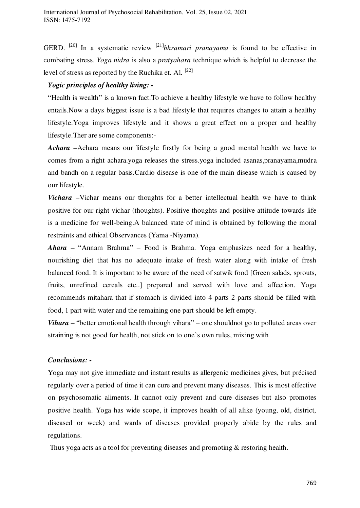GERD. [20] In a systematic review [21]*bhramari pranayama* is found to be effective in combating stress. *Yoga nidra* is also a *pratyahara* technique which is helpful to decrease the level of stress as reported by the Ruchika et. Al.  $[22]$ 

## *Yogic principles of healthy living: -*

"Health is wealth" is a known fact.To achieve a healthy lifestyle we have to follow healthy entails.Now a days biggest issue is a bad lifestyle that requires changes to attain a healthy lifestyle.Yoga improves lifestyle and it shows a great effect on a proper and healthy lifestyle.Ther are some components:-

*Achara –*Achara means our lifestyle firstly for being a good mental health we have to comes from a right achara.yoga releases the stress.yoga included asanas,pranayama,mudra and bandh on a regular basis.Cardio disease is one of the main disease which is caused by our lifestyle.

*Vichara –*Vichar means our thoughts for a better intellectual health we have to think positive for our right vichar (thoughts). Positive thoughts and positive attitude towards life is a medicine for well-being.A balanced state of mind is obtained by following the moral restraints and ethical Observances (Yama -Niyama).

*Ahara –* "Annam Brahma" – Food is Brahma. Yoga emphasizes need for a healthy, nourishing diet that has no adequate intake of fresh water along with intake of fresh balanced food. It is important to be aware of the need of satwik food [Green salads, sprouts, fruits, unrefined cereals etc..] prepared and served with love and affection. Yoga recommends mitahara that if stomach is divided into 4 parts 2 parts should be filled with food, 1 part with water and the remaining one part should be left empty.

*Vihara –* "better emotional health through vihara" – one shouldnot go to polluted areas over straining is not good for health, not stick on to one's own rules, mixing with

# *Conclusions: -*

Yoga may not give immediate and instant results as allergenic medicines gives, but précised regularly over a period of time it can cure and prevent many diseases. This is most effective on psychosomatic aliments. It cannot only prevent and cure diseases but also promotes positive health. Yoga has wide scope, it improves health of all alike (young, old, district, diseased or week) and wards of diseases provided properly abide by the rules and regulations.

Thus yoga acts as a tool for preventing diseases and promoting & restoring health.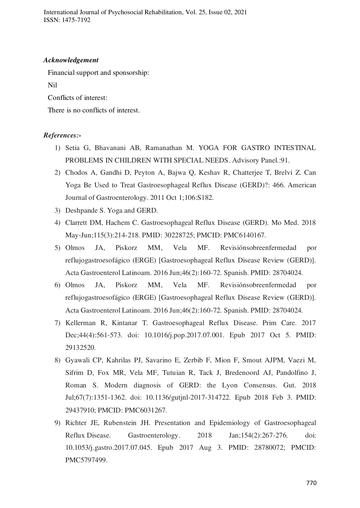International Journal of Psychosocial Rehabilitation, Vol. 25, Issue 02, 2021 ISSN: 1475-7192

#### *Acknowledgement*

Financial support and sponsorship:

Nil

Conflicts of interest:

There is no conflicts of interest.

#### *References:-*

- 1) Setia G, Bhavanani AB, Ramanathan M. YOGA FOR GASTRO INTESTINAL PROBLEMS IN CHILDREN WITH SPECIAL NEEDS. Advisory Panel.:91.
- 2) Chodos A, Gandhi D, Peyton A, Bajwa Q, Keshav R, Chatterjee T, Brelvi Z. Can Yoga Be Used to Treat Gastroesophageal Reflux Disease (GERD)?: 466. American Journal of Gastroenterology. 2011 Oct 1;106:S182.
- 3) Deshpande S. Yoga and GERD.
- 4) Clarrett DM, Hachem C. Gastroesophageal Reflux Disease (GERD). Mo Med. 2018 May-Jun;115(3):214-218. PMID: 30228725; PMCID: PMC6140167.
- 5) Olmos JA, Piskorz MM, Vela MF. Revisiónsobreenfermedad por reflujogastroesofágico (ERGE) [Gastroesophageal Reflux Disease Review (GERD)]. Acta Gastroenterol Latinoam. 2016 Jun;46(2):160-72. Spanish. PMID: 28704024.
- 6) Olmos JA, Piskorz MM, Vela MF. Revisiónsobreenfermedad por reflujogastroesofágico (ERGE) [Gastroesophageal Reflux Disease Review (GERD)]. Acta Gastroenterol Latinoam. 2016 Jun;46(2):160-72. Spanish. PMID: 28704024.
- 7) Kellerman R, Kintanar T. Gastroesophageal Reflux Disease. Prim Care. 2017 Dec;44(4):561-573. doi: 10.1016/j.pop.2017.07.001. Epub 2017 Oct 5. PMID: 29132520.
- 8) Gyawali CP, Kahrilas PJ, Savarino E, Zerbib F, Mion F, Smout AJPM, Vaezi M, Sifrim D, Fox MR, Vela MF, Tutuian R, Tack J, Bredenoord AJ, Pandolfino J, Roman S. Modern diagnosis of GERD: the Lyon Consensus. Gut. 2018 Jul;67(7):1351-1362. doi: 10.1136/gutjnl-2017-314722. Epub 2018 Feb 3. PMID: 29437910; PMCID: PMC6031267.
- 9) Richter JE, Rubenstein JH. Presentation and Epidemiology of Gastroesophageal Reflux Disease. Gastroenterology. 2018 Jan;154(2):267-276. doi: 10.1053/j.gastro.2017.07.045. Epub 2017 Aug 3. PMID: 28780072; PMCID: PMC5797499.